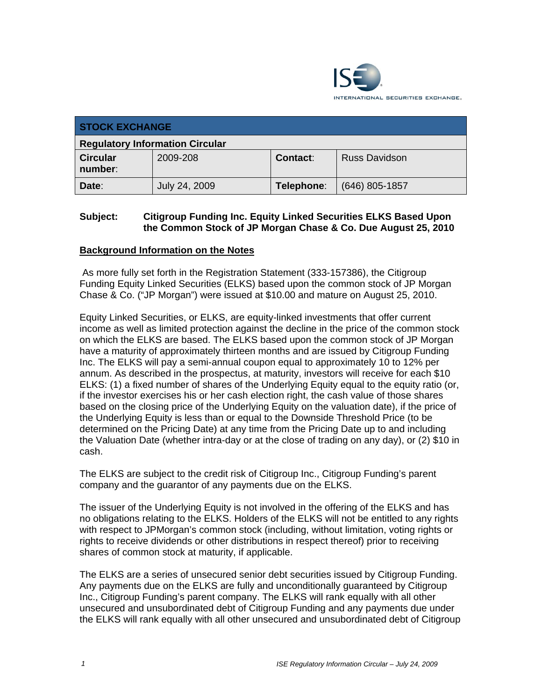

| <b>STOCK EXCHANGE</b>                  |               |                 |                      |  |  |
|----------------------------------------|---------------|-----------------|----------------------|--|--|
| <b>Regulatory Information Circular</b> |               |                 |                      |  |  |
| <b>Circular</b><br>number:             | 2009-208      | <b>Contact:</b> | <b>Russ Davidson</b> |  |  |
| Date:                                  | July 24, 2009 | Telephone:      | $(646)$ 805-1857     |  |  |

## **Subject: Citigroup Funding Inc. Equity Linked Securities ELKS Based Upon the Common Stock of JP Morgan Chase & Co. Due August 25, 2010**

### **Background Information on the Notes**

 As more fully set forth in the Registration Statement (333-157386), the Citigroup Funding Equity Linked Securities (ELKS) based upon the common stock of JP Morgan Chase & Co. ("JP Morgan") were issued at \$10.00 and mature on August 25, 2010.

Equity Linked Securities, or ELKS, are equity-linked investments that offer current income as well as limited protection against the decline in the price of the common stock on which the ELKS are based. The ELKS based upon the common stock of JP Morgan have a maturity of approximately thirteen months and are issued by Citigroup Funding Inc. The ELKS will pay a semi-annual coupon equal to approximately 10 to 12% per annum. As described in the prospectus, at maturity, investors will receive for each \$10 ELKS: (1) a fixed number of shares of the Underlying Equity equal to the equity ratio (or, if the investor exercises his or her cash election right, the cash value of those shares based on the closing price of the Underlying Equity on the valuation date), if the price of the Underlying Equity is less than or equal to the Downside Threshold Price (to be determined on the Pricing Date) at any time from the Pricing Date up to and including the Valuation Date (whether intra-day or at the close of trading on any day), or (2) \$10 in cash.

The ELKS are subject to the credit risk of Citigroup Inc., Citigroup Funding's parent company and the guarantor of any payments due on the ELKS.

The issuer of the Underlying Equity is not involved in the offering of the ELKS and has no obligations relating to the ELKS. Holders of the ELKS will not be entitled to any rights with respect to JPMorgan's common stock (including, without limitation, voting rights or rights to receive dividends or other distributions in respect thereof) prior to receiving shares of common stock at maturity, if applicable.

The ELKS are a series of unsecured senior debt securities issued by Citigroup Funding. Any payments due on the ELKS are fully and unconditionally guaranteed by Citigroup Inc., Citigroup Funding's parent company. The ELKS will rank equally with all other unsecured and unsubordinated debt of Citigroup Funding and any payments due under the ELKS will rank equally with all other unsecured and unsubordinated debt of Citigroup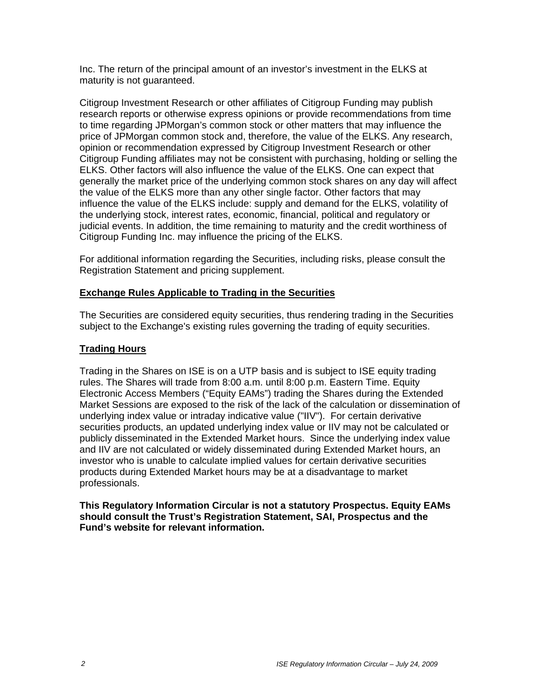Inc. The return of the principal amount of an investor's investment in the ELKS at maturity is not guaranteed.

Citigroup Investment Research or other affiliates of Citigroup Funding may publish research reports or otherwise express opinions or provide recommendations from time to time regarding JPMorgan's common stock or other matters that may influence the price of JPMorgan common stock and, therefore, the value of the ELKS. Any research, opinion or recommendation expressed by Citigroup Investment Research or other Citigroup Funding affiliates may not be consistent with purchasing, holding or selling the ELKS. Other factors will also influence the value of the ELKS. One can expect that generally the market price of the underlying common stock shares on any day will affect the value of the ELKS more than any other single factor. Other factors that may influence the value of the ELKS include: supply and demand for the ELKS, volatility of the underlying stock, interest rates, economic, financial, political and regulatory or judicial events. In addition, the time remaining to maturity and the credit worthiness of Citigroup Funding Inc. may influence the pricing of the ELKS.

For additional information regarding the Securities, including risks, please consult the Registration Statement and pricing supplement.

### **Exchange Rules Applicable to Trading in the Securities**

The Securities are considered equity securities, thus rendering trading in the Securities subject to the Exchange's existing rules governing the trading of equity securities.

#### **Trading Hours**

Trading in the Shares on ISE is on a UTP basis and is subject to ISE equity trading rules. The Shares will trade from 8:00 a.m. until 8:00 p.m. Eastern Time. Equity Electronic Access Members ("Equity EAMs") trading the Shares during the Extended Market Sessions are exposed to the risk of the lack of the calculation or dissemination of underlying index value or intraday indicative value ("IIV"). For certain derivative securities products, an updated underlying index value or IIV may not be calculated or publicly disseminated in the Extended Market hours. Since the underlying index value and IIV are not calculated or widely disseminated during Extended Market hours, an investor who is unable to calculate implied values for certain derivative securities products during Extended Market hours may be at a disadvantage to market professionals.

**This Regulatory Information Circular is not a statutory Prospectus. Equity EAMs should consult the Trust's Registration Statement, SAI, Prospectus and the Fund's website for relevant information.**